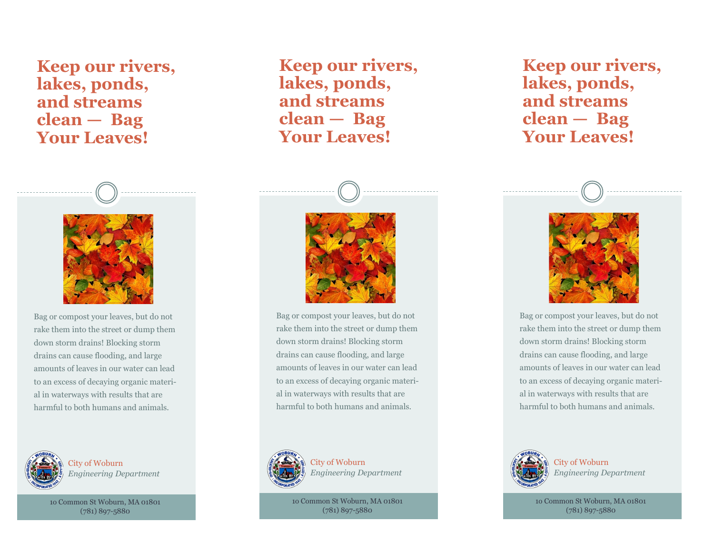## **Keep our rivers, lakes, ponds, and streams clean — Bag Your Leaves!**



Bag or compost your leaves, but do not rake them into the street or dump them down storm drains! Blocking storm drains can cause flooding, and large amounts of leaves in our water can lead to an excess of decaying organic material in waterways with results that are harmful to both humans and animals.



City of Woburn *Engineering Department*

1o Common St Woburn, MA 01801 (781) 897-5880